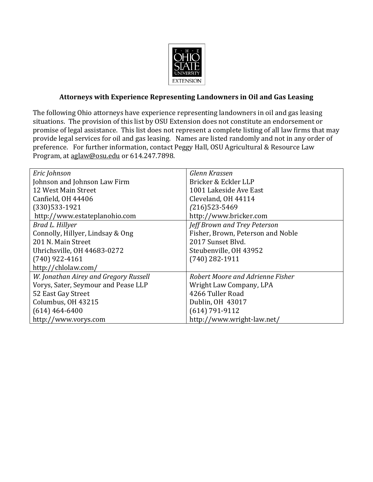

## **Attorneys with Experience Representing Landowners in Oil and Gas Leasing**

The following Ohio attorneys have experience representing landowners in oil and gas leasing situations. The provision of this list by OSU Extension does not constitute an endorsement or promise of legal assistance. This list does not represent a complete listing of all law firms that may provide legal services for oil and gas leasing. Names are listed randomly and not in any order of preference. For further information, contact Peggy Hall, OSU Agricultural & Resource Law Program, at [aglaw@osu.edu](mailto:aglaw@osu.edu) or 614.247.7898.

| Eric Johnson                          | Glenn Krassen                     |
|---------------------------------------|-----------------------------------|
| Johnson and Johnson Law Firm          | Bricker & Eckler LLP              |
| 12 West Main Street                   | 1001 Lakeside Ave East            |
| Canfield, OH 44406                    | Cleveland, OH 44114               |
| $(330)533-1921$                       | $(216)523 - 5469$                 |
| http://www.estateplanohio.com         | http://www.bricker.com            |
| Brad L. Hillyer                       | Jeff Brown and Trey Peterson      |
| Connolly, Hillyer, Lindsay & Ong      | Fisher, Brown, Peterson and Noble |
| 201 N. Main Street                    | 2017 Sunset Blyd.                 |
| Uhrichsville, OH 44683-0272           | Steubenville, OH 43952            |
| $(740)$ 922-4161                      | $(740)$ 282-1911                  |
| http://chlolaw.com/                   |                                   |
| W. Jonathan Airey and Gregory Russell | Robert Moore and Adrienne Fisher  |
| Vorys, Sater, Seymour and Pease LLP   | Wright Law Company, LPA           |
| 52 East Gay Street                    | 4266 Tuller Road                  |
| Columbus, OH 43215                    | Dublin, OH 43017                  |
| $(614)$ 464-6400                      | $(614) 791 - 9112$                |
| http://www.vorys.com                  | http://www.wright-law.net/        |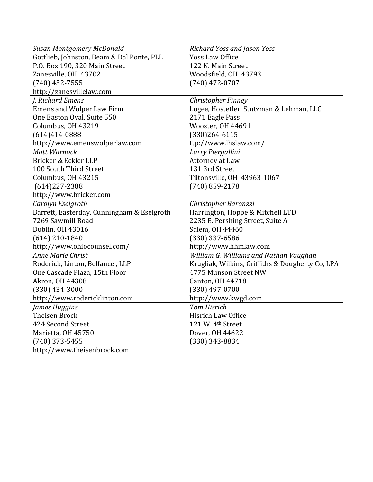| Susan Montgomery McDonald                  | Richard Yoss and Jason Yoss                      |
|--------------------------------------------|--------------------------------------------------|
| Gottlieb, Johnston, Beam & Dal Ponte, PLL  | <b>Yoss Law Office</b>                           |
| P.O. Box 190, 320 Main Street              | 122 N. Main Street                               |
| Zanesville, OH 43702                       | Woodsfield, OH 43793                             |
| $(740)$ 452-7555                           | $(740)$ 472-0707                                 |
| http://zanesvillelaw.com                   |                                                  |
| J. Richard Emens                           | Christopher Finney                               |
| <b>Emens and Wolper Law Firm</b>           | Logee, Hostetler, Stutzman & Lehman, LLC         |
| One Easton Oval, Suite 550                 | 2171 Eagle Pass                                  |
| Columbus, OH 43219                         | Wooster, OH 44691                                |
| $(614)414 - 0888$                          | $(330)264 - 6115$                                |
| http://www.emenswolperlaw.com              | ttp://www.lhslaw.com/                            |
| <b>Matt Warnock</b>                        | Larry Piergallini                                |
| Bricker & Eckler LLP                       | Attorney at Law                                  |
| 100 South Third Street                     | 131 3rd Street                                   |
| Columbus, OH 43215                         | Tiltonsville, OH 43963-1067                      |
| $(614)227 - 2388$                          | $(740)$ 859-2178                                 |
| http://www.bricker.com                     |                                                  |
|                                            |                                                  |
| Carolyn Eselgroth                          | Christopher Baronzzi                             |
| Barrett, Easterday, Cunningham & Eselgroth | Harrington, Hoppe & Mitchell LTD                 |
| 7269 Sawmill Road                          | 2235 E. Pershing Street, Suite A                 |
| Dublin, OH 43016                           | Salem, OH 44460                                  |
| $(614)$ 210-1840                           | $(330)$ 337-6586                                 |
| http://www.ohiocounsel.com/                | http://www.hhmlaw.com                            |
| <b>Anne Marie Christ</b>                   | William G. Williams and Nathan Vaughan           |
| Roderick, Linton, Belfance, LLP            | Krugliak, Wilkins, Griffiths & Dougherty Co, LPA |
| One Cascade Plaza, 15th Floor              | 4775 Munson Street NW                            |
| Akron, OH 44308                            | Canton, OH 44718                                 |
| $(330)$ 434-3000                           | $(330)$ 497-0700                                 |
| http://www.rodericklinton.com              | http://www.kwgd.com                              |
| James Huggins                              | <b>Tom Hisrich</b>                               |
| <b>Theisen Brock</b>                       | Hisrich Law Office                               |
| 424 Second Street                          | 121 W. 4th Street                                |
| Marietta, OH 45750                         | Dover, OH 44622                                  |
| $(740)$ 373-5455                           | $(330)$ 343-8834                                 |